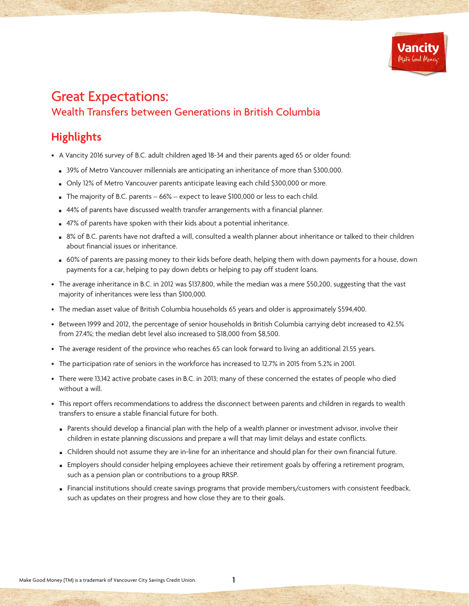

# Great Expectations: Wealth Transfers between Generations in British Columbia

## **Highlights**

- A Vancity 2016 survey of B.C. adult children aged 18-34 and their parents aged 65 or older found:
	- **B** 39% of Metro Vancouver millennials are anticipating an inheritance of more than \$300,000.
	- n Only 12% of Metro Vancouver parents anticipate leaving each child \$300,000 or more.
	- $\blacksquare$  The majority of B.C. parents 66% expect to leave \$100,000 or less to each child.
	- 44% of parents have discussed wealth transfer arrangements with a financial planner.
	- 47% of parents have spoken with their kids about a potential inheritance.
	- 8% of B.C. parents have not drafted a will, consulted a wealth planner about inheritance or talked to their children about financial issues or inheritance.
	- <sup>n</sup> 60% of parents are passing money to their kids before death, helping them with down payments for a house, down payments for a car, helping to pay down debts or helping to pay off student loans.
- The average inheritance in B.C. in 2012 was \$137,800, while the median was a mere \$50,200, suggesting that the vast majority of inheritances were less than \$100,000.
- The median asset value of British Columbia households 65 years and older is approximately \$594,400.
- Between 1999 and 2012, the percentage of senior households in British Columbia carrying debt increased to 42.5% from 27.4%; the median debt level also increased to \$18,000 from \$8,500.
- The average resident of the province who reaches 65 can look forward to living an additional 21.55 years.
- The participation rate of seniors in the workforce has increased to 12.7% in 2015 from 5.2% in 2001.
- There were 13,142 active probate cases in B.C. in 2013; many of these concerned the estates of people who died without a will.
- This report offers recommendations to address the disconnect between parents and children in regards to wealth transfers to ensure a stable financial future for both.
	- n Parents should develop a financial plan with the help of a wealth planner or investment advisor, involve their children in estate planning discussions and prepare a will that may limit delays and estate conflicts.
	- **n** Children should not assume they are in-line for an inheritance and should plan for their own financial future.
	- **Employers should consider helping employees achieve their retirement goals by offering a retirement program,** such as a pension plan or contributions to a group RRSP.
	- Financial institutions should create savings programs that provide members/customers with consistent feedback, such as updates on their progress and how close they are to their goals.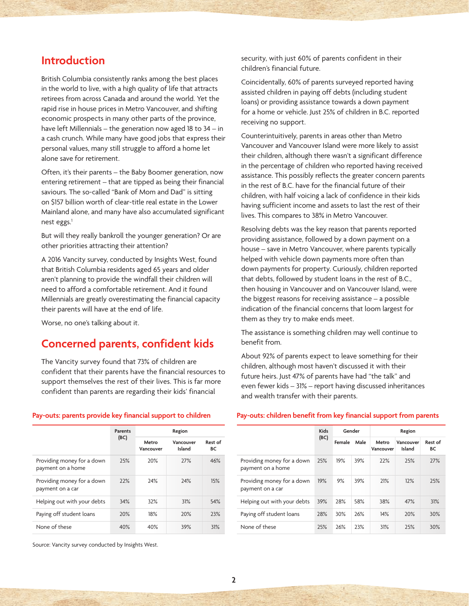### **Introduction**

British Columbia consistently ranks among the best places in the world to live, with a high quality of life that attracts retirees from across Canada and around the world. Yet the rapid rise in house prices in Metro Vancouver, and shifting economic prospects in many other parts of the province, have left Millennials – the generation now aged 18 to 34 – in a cash crunch. While many have good jobs that express their personal values, many still struggle to afford a home let alone save for retirement.

Often, it's their parents – the Baby Boomer generation, now entering retirement – that are tipped as being their financial saviours. The so-called "Bank of Mom and Dad" is sitting on \$157 billion worth of clear-title real estate in the Lower Mainland alone, and many have also accumulated significant nest eggs.<sup>1</sup>

But will they really bankroll the younger generation? Or are other priorities attracting their attention?

A 2016 Vancity survey, conducted by Insights West, found that British Columbia residents aged 65 years and older aren't planning to provide the windfall their children will need to afford a comfortable retirement. And it found Millennials are greatly overestimating the financial capacity their parents will have at the end of life.

Worse, no one's talking about it.

## **Concerned parents, confident kids**

The Vancity survey found that 73% of children are confident that their parents have the financial resources to support themselves the rest of their lives. This is far more confident than parents are regarding their kids' financial

security, with just 60% of parents confident in their children's financial future.

Coincidentally, 60% of parents surveyed reported having assisted children in paying off debts (including student loans) or providing assistance towards a down payment for a home or vehicle. Just 25% of children in B.C. reported receiving no support.

Counterintuitively, parents in areas other than Metro Vancouver and Vancouver Island were more likely to assist their children, although there wasn't a significant difference in the percentage of children who reported having received assistance. This possibly reflects the greater concern parents in the rest of B.C. have for the financial future of their children, with half voicing a lack of confidence in their kids having sufficient income and assets to last the rest of their lives. This compares to 38% in Metro Vancouver.

Resolving debts was the key reason that parents reported providing assistance, followed by a down payment on a house – save in Metro Vancouver, where parents typically helped with vehicle down payments more often than down payments for property. Curiously, children reported that debts, followed by student loans in the rest of B.C., then housing in Vancouver and on Vancouver Island, were the biggest reasons for receiving assistance – a possible indication of the financial concerns that loom largest for them as they try to make ends meet.

The assistance is something children may well continue to benefit from.

About 92% of parents expect to leave something for their children, although most haven't discussed it with their future heirs. Just 47% of parents have had "the talk" and even fewer kids – 31% – report having discussed inheritances and wealth transfer with their parents.

#### **Parents (BC) Region Metro Vancouver Vancouver Island Rest of BC** Providing money for a down payment on a home 25% 20% 27% 46% Providing money for a down payment on a car 22% 24% 24% 15% Helping out with your debts 34% 32% 31% 54% Paying off student loans 20% 18% 20% 23% None of these 40% 40% 39% 31%

#### **Pay-outs: parents provide key financial support to children**

### **Pay-outs: children benefit from key financial support from parents**

|                                                 | <b>Kids</b><br>(BC) | Gender |      | Region             |                     |               |
|-------------------------------------------------|---------------------|--------|------|--------------------|---------------------|---------------|
|                                                 |                     | Female | Male | Metro<br>Vancouver | Vancouver<br>Island | Rest of<br>ВC |
| Providing money for a down<br>payment on a home | 25%                 | 19%    | 39%  | 22%                | 25%                 | 27%           |
| Providing money for a down<br>payment on a car  | 19%                 | 9%     | 39%  | 21%                | 12%                 | 25%           |
| Helping out with your debts                     | 39%                 | 28%    | 58%  | 38%                | 47%                 | 31%           |
| Paying off student loans                        | 28%                 | 30%    | 26%  | 14%                | 20%                 | 30%           |
| None of these                                   | 25%                 | 26%    | 23%  | 31%                | 25%                 | 30%           |

Source: Vancity survey conducted by Insights West.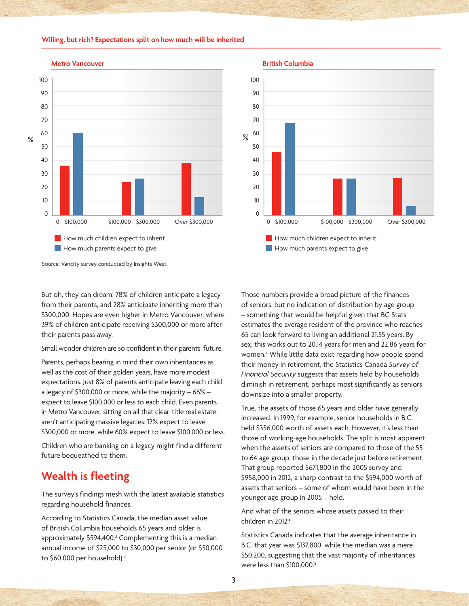#### **Willing, but rich? Expectations split on how much will be inherited**



#### **Metro Vancouver**



[Source: Vancity survey conducted by Insights West.](https://www.vancity.com/AboutVancity/News/MediaReleases/BCWealthTransfer-Feb29-2016/Tables_Vancity_Inheritance_28Jan2016.xlsx)

But oh, they can dream: 78% of children anticipate a legacy from their parents, and 28% anticipate inheriting more than \$300,000. Hopes are even higher in Metro Vancouver, where 39% of children anticipate receiving \$300,000 or more after their parents pass away.

Small wonder children are so confident in their parents' future.

Parents, perhaps bearing in mind their own inheritances as well as the cost of their golden years, have more modest expectations. Just 8% of parents anticipate leaving each child a legacy of \$300,000 or more, while the majority – 66% – expect to leave \$100,000 or less to each child. Even parents in Metro Vancouver, sitting on all that clear-title real estate, aren't anticipating massive legacies: 12% expect to leave \$300,000 or more, while 60% expect to leave \$100,000 or less.

Children who are banking on a legacy might find a different future bequeathed to them.

## **Wealth is fleeting**

The survey's findings mesh with the latest available statistics regarding household finances.

According to Statistics Canada, the median asset value of British Columbia households 65 years and older is approximately \$594,400.<sup>2</sup> Complementing this is a median annual income of \$25,000 to \$30,000 per senior (or \$50,000 to \$60,000 per household).<sup>3</sup>

Those numbers provide a broad picture of the finances of seniors, but no indication of distribution by age group – something that would be helpful given that BC Stats estimates the average resident of the province who reaches 65 can look forward to living an additional 21.55 years. By sex, this works out to 20.14 years for men and 22.86 years for women.4 While little data exist regarding how people spend their money in retirement, the Statistics Canada *Survey of Financial Security* suggests that assets held by households diminish in retirement, perhaps most significantly as seniors downsize into a smaller property.

True, the assets of those 65 years and older have generally increased. In 1999, for example, senior households in B.C. held \$356,000 worth of assets each. However, it's less than those of working-age households. The split is most apparent when the assets of seniors are compared to those of the 55 to 64 age group, those in the decade just before retirement. That group reported \$671,800 in the 2005 survey and \$958,000 in 2012, a sharp contrast to the \$594,000 worth of assets that seniors – some of whom would have been in the younger age group in 2005 – held.

And what of the seniors whose assets passed to their children in 2012?

Statistics Canada indicates that the average inheritance in B.C. that year was \$137,800, while the median was a mere \$50,200, suggesting that the vast majority of inheritances were less than \$100,000.<sup>5</sup>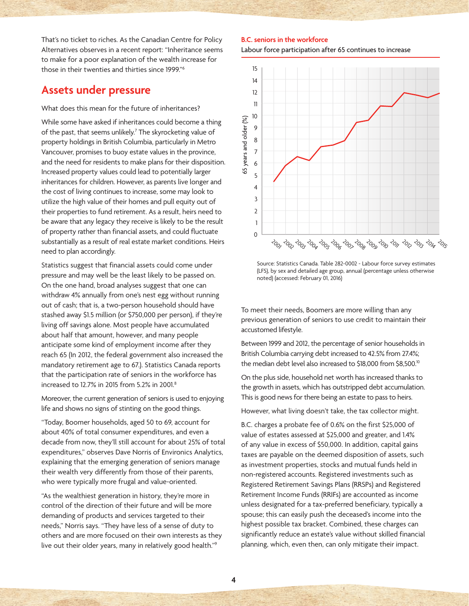That's no ticket to riches. As the Canadian Centre for Policy Alternatives observes in a recent report: "Inheritance seems to make for a poor explanation of the wealth increase for those in their twenties and thirties since 1999."6

### **Assets under pressure**

What does this mean for the future of inheritances?

While some have asked if inheritances could become a thing of the past, that seems unlikely.7 The skyrocketing value of property holdings in British Columbia, particularly in Metro Vancouver, promises to buoy estate values in the province, and the need for residents to make plans for their disposition. Increased property values could lead to potentially larger inheritances for children. However, as parents live longer and the cost of living continues to increase, some may look to utilize the high value of their homes and pull equity out of their properties to fund retirement. As a result, heirs need to be aware that any legacy they receive is likely to be the result of property rather than financial assets, and could fluctuate substantially as a result of real estate market conditions. Heirs need to plan accordingly.

Statistics suggest that financial assets could come under pressure and may well be the least likely to be passed on. On the one hand, broad analyses suggest that one can withdraw 4% annually from one's nest egg without running out of cash; that is, a two-person household should have stashed away \$1.5 million (or \$750,000 per person), if they're living off savings alone. Most people have accumulated about half that amount, however, and many people anticipate some kind of employment income after they reach 65 (In 2012, the federal government also increased the mandatory retirement age to 67.). Statistics Canada reports that the participation rate of seniors in the workforce has increased to 12.7% in 2015 from 5.2% in 2001.8

Moreover, the current generation of seniors is used to enjoying life and shows no signs of stinting on the good things.

"Today, Boomer households, aged 50 to 69, account for about 40% of total consumer expenditures, and even a decade from now, they'll still account for about 25% of total expenditures," observes Dave Norris of Environics Analytics, explaining that the emerging generation of seniors manage their wealth very differently from those of their parents, who were typically more frugal and value-oriented.

"As the wealthiest generation in history, they're more in control of the direction of their future and will be more demanding of products and services targeted to their needs," Norris says. "They have less of a sense of duty to others and are more focused on their own interests as they live out their older years, many in relatively good health."9

#### **B.C. seniors in the workforce**

Labour force participation after 65 continues to increase



Source: Statistics Canada. Table 282-0002 - Labour force survey estimates (LFS), by sex and detailed age group, annual (percentage unless otherwise noted) (accessed: February 01, 2016)

To meet their needs, Boomers are more willing than any previous generation of seniors to use credit to maintain their accustomed lifestyle.

Between 1999 and 2012, the percentage of senior households in British Columbia carrying debt increased to 42.5% from 27.4%; the median debt level also increased to \$18,000 from \$8,500.<sup>10</sup>

On the plus side, household net worth has increased thanks to the growth in assets, which has outstripped debt accumulation. This is good news for there being an estate to pass to heirs.

However, what living doesn't take, the tax collector might.

B.C. charges a probate fee of 0.6% on the first \$25,000 of value of estates assessed at \$25,000 and greater, and 1.4% of any value in excess of \$50,000. In addition, capital gains taxes are payable on the deemed disposition of assets, such as investment properties, stocks and mutual funds held in non-registered accounts. Registered investments such as Registered Retirement Savings Plans (RRSPs) and Registered Retirement Income Funds (RRIFs) are accounted as income unless designated for a tax-preferred beneficiary, typically a spouse; this can easily push the deceased's income into the highest possible tax bracket. Combined, these charges can significantly reduce an estate's value without skilled financial planning, which, even then, can only mitigate their impact.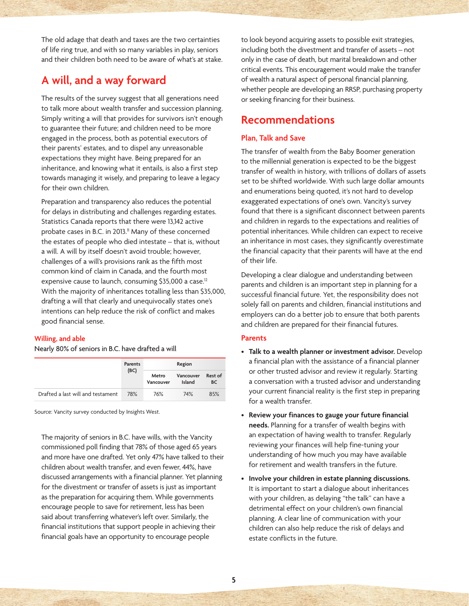The old adage that death and taxes are the two certainties of life ring true, and with so many variables in play, seniors and their children both need to be aware of what's at stake.

### **A will, and a way forward**

The results of the survey suggest that all generations need to talk more about wealth transfer and succession planning. Simply writing a will that provides for survivors isn't enough to guarantee their future; and children need to be more engaged in the process, both as potential executors of their parents' estates, and to dispel any unreasonable expectations they might have. Being prepared for an inheritance, and knowing what it entails, is also a first step towards managing it wisely, and preparing to leave a legacy for their own children.

Preparation and transparency also reduces the potential for delays in distributing and challenges regarding estates. Statistics Canada reports that there were 13,142 active probate cases in B.C. in 2013.<sup>11</sup> Many of these concerned the estates of people who died intestate – that is, without a will. A will by itself doesn't avoid trouble; however, challenges of a will's provisions rank as the fifth most common kind of claim in Canada, and the fourth most expensive cause to launch, consuming \$35,000 a case.<sup>12</sup> With the majority of inheritances totalling less than \$35,000, drafting a will that clearly and unequivocally states one's intentions can help reduce the risk of conflict and makes good financial sense.

#### **Willing, and able**

Nearly 80% of seniors in B.C. have drafted a will

|                                   | <b>Parents</b> | Region             |                     |                      |  |
|-----------------------------------|----------------|--------------------|---------------------|----------------------|--|
|                                   | (BC)           | Metro<br>Vancouver | Vancouver<br>Island | Rest of<br><b>BC</b> |  |
| Drafted a last will and testament | 78%            | 76%                | 74%                 | 85%                  |  |

Source: Vancity survey conducted by Insights West.

The majority of seniors in B.C. have wills, with the Vancity commissioned poll finding that 78% of those aged 65 years and more have one drafted. Yet only 47% have talked to their children about wealth transfer, and even fewer, 44%, have discussed arrangements with a financial planner. Yet planning for the divestment or transfer of assets is just as important as the preparation for acquiring them. While governments encourage people to save for retirement, less has been said about transferring whatever's left over. Similarly, the financial institutions that support people in achieving their financial goals have an opportunity to encourage people

to look beyond acquiring assets to possible exit strategies, including both the divestment and transfer of assets – not only in the case of death, but marital breakdown and other critical events. This encouragement would make the transfer of wealth a natural aspect of personal financial planning, whether people are developing an RRSP, purchasing property or seeking financing for their business.

### **Recommendations**

### **Plan, Talk and Save**

The transfer of wealth from the Baby Boomer generation to the millennial generation is expected to be the biggest transfer of wealth in history, with trillions of dollars of assets set to be shifted worldwide. With such large dollar amounts and enumerations being quoted, it's not hard to develop exaggerated expectations of one's own. Vancity's survey found that there is a significant disconnect between parents and children in regards to the expectations and realities of potential inheritances. While children can expect to receive an inheritance in most cases, they significantly overestimate the financial capacity that their parents will have at the end of their life.

Developing a clear dialogue and understanding between parents and children is an important step in planning for a successful financial future. Yet, the responsibility does not solely fall on parents and children, financial institutions and employers can do a better job to ensure that both parents and children are prepared for their financial futures.

#### **Parents**

- **Talk to a wealth planner or investment advisor.** Develop a financial plan with the assistance of a financial planner or other trusted advisor and review it regularly. Starting a conversation with a trusted advisor and understanding your current financial reality is the first step in preparing for a wealth transfer.
- **Review your finances to gauge your future financial needs.** Planning for a transfer of wealth begins with an expectation of having wealth to transfer. Regularly reviewing your finances will help fine-tuning your understanding of how much you may have available for retirement and wealth transfers in the future.
- **Involve your children in estate planning discussions.** It is important to start a dialogue about inheritances with your children, as delaying "the talk" can have a detrimental effect on your children's own financial planning. A clear line of communication with your children can also help reduce the risk of delays and estate conflicts in the future.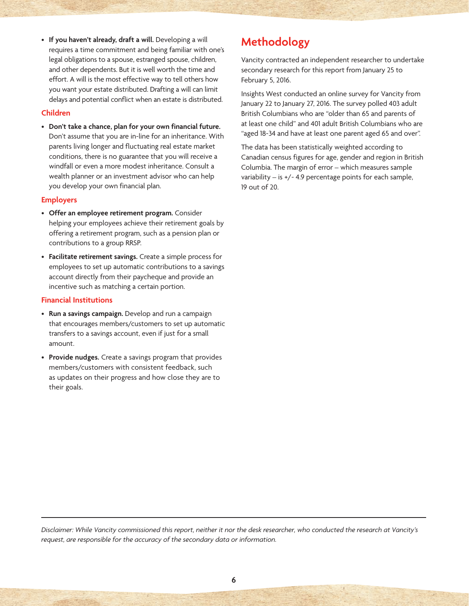• **If you haven't already, draft a will.** Developing a will requires a time commitment and being familiar with one's legal obligations to a spouse, estranged spouse, children, and other dependents. But it is well worth the time and effort. A will is the most effective way to tell others how you want your estate distributed. Drafting a will can limit delays and potential conflict when an estate is distributed.

### **Children**

• **Don't take a chance, plan for your own financial future.** Don't assume that you are in-line for an inheritance. With parents living longer and fluctuating real estate market conditions, there is no guarantee that you will receive a windfall or even a more modest inheritance. Consult a wealth planner or an investment advisor who can help you develop your own financial plan.

### **Employers**

- **Offer an employee retirement program.** Consider helping your employees achieve their retirement goals by offering a retirement program, such as a pension plan or contributions to a group RRSP.
- **Facilitate retirement savings.** Create a simple process for employees to set up automatic contributions to a savings account directly from their paycheque and provide an incentive such as matching a certain portion.

### **Financial Institutions**

- **Run a savings campaign.** Develop and run a campaign that encourages members/customers to set up automatic transfers to a savings account, even if just for a small amount.
- **Provide nudges.** Create a savings program that provides members/customers with consistent feedback, such as updates on their progress and how close they are to their goals.

## **Methodology**

Vancity contracted an independent researcher to undertake secondary research for this report from January 25 to February 5, 2016.

Insights West conducted an online survey for Vancity from January 22 to January 27, 2016. The survey polled 403 adult British Columbians who are "older than 65 and parents of at least one child" and 401 adult British Columbians who are "aged 18-34 and have at least one parent aged 65 and over".

The data has been statistically weighted according to Canadian census figures for age, gender and region in British Columbia. The margin of error – which measures sample variability – is +/- 4.9 percentage points for each sample, 19 out of 20.

*Disclaimer: While Vancity commissioned this report, neither it nor the desk researcher, who conducted the research at Vancity's request, are responsible for the accuracy of the secondary data or information.*